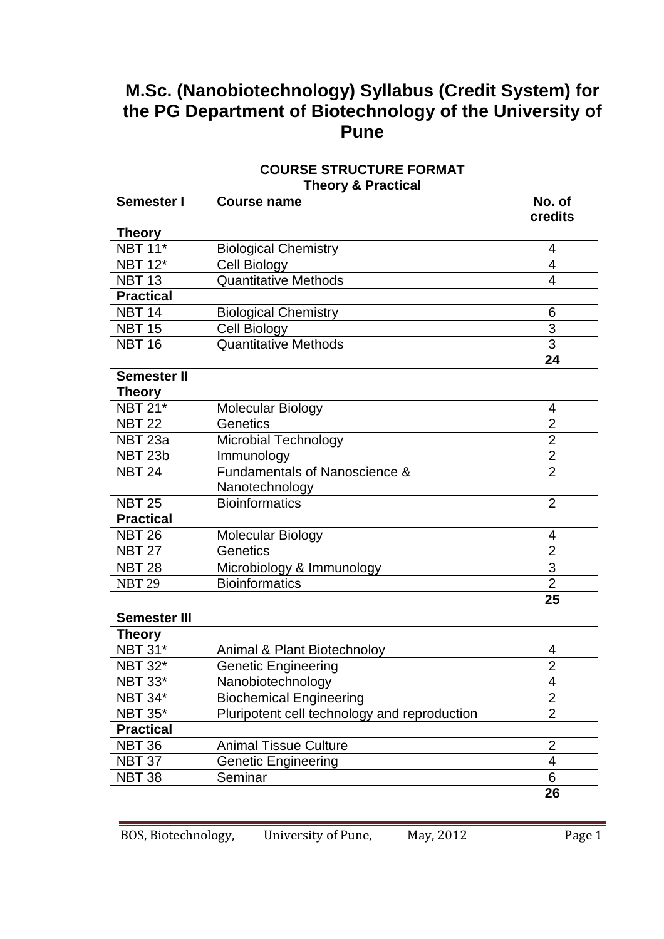# **M.Sc. (Nanobiotechnology) Syllabus (Credit System) for the PG Department of Biotechnology of the University of Pune**

### **COURSE STRUCTURE FORMAT Theory & Practical**

| <b>Semester I</b>   | <b>Course name</b>                           | No. of<br>credits |
|---------------------|----------------------------------------------|-------------------|
| <b>Theory</b>       |                                              |                   |
| <b>NBT 11*</b>      | <b>Biological Chemistry</b>                  | 4                 |
| <b>NBT 12*</b>      | Cell Biology                                 | $\overline{4}$    |
| <b>NBT 13</b>       | <b>Quantitative Methods</b>                  | 4                 |
| <b>Practical</b>    |                                              |                   |
| NBT $14$            | <b>Biological Chemistry</b>                  | 6                 |
| <b>NBT 15</b>       | Cell Biology                                 | 3                 |
| <b>NBT 16</b>       | <b>Quantitative Methods</b>                  | $\overline{3}$    |
|                     |                                              | 24                |
| <b>Semester II</b>  |                                              |                   |
| Theory              |                                              |                   |
| $NBT$ 21*           | Molecular Biology                            | 4                 |
| <b>NBT 22</b>       | Genetics                                     | $\overline{2}$    |
| NBT <sub>23a</sub>  | <b>Microbial Technology</b>                  | $\overline{2}$    |
| NBT <sub>23b</sub>  | Immunology                                   | $\overline{2}$    |
| <b>NBT 24</b>       | Fundamentals of Nanoscience &                | $\overline{2}$    |
|                     | Nanotechnology                               |                   |
| <b>NBT 25</b>       | Bioinformatics                               | $\overline{2}$    |
| <b>Practical</b>    |                                              |                   |
| <b>NBT 26</b>       | <b>Molecular Biology</b>                     | 4                 |
| <b>NBT 27</b>       | Genetics                                     | $\overline{2}$    |
| <b>NBT 28</b>       | Microbiology & Immunology                    | 3                 |
| <b>NBT 29</b>       | Bioinformatics                               | $\overline{2}$    |
|                     |                                              | 25                |
| <b>Semester III</b> |                                              |                   |
| <b>Theory</b>       |                                              |                   |
| <b>NBT 31*</b>      | Animal & Plant Biotechnoloy                  | 4                 |
| <b>NBT 32*</b>      | <b>Genetic Engineering</b>                   | $\overline{2}$    |
| <b>NBT 33*</b>      | Nanobiotechnology                            | $\overline{4}$    |
| <b>NBT 34*</b>      | <b>Biochemical Engineering</b>               | $\overline{2}$    |
| <b>NBT 35*</b>      | Pluripotent cell technology and reproduction | $\overline{2}$    |
| <b>Practical</b>    |                                              |                   |
| <b>NBT 36</b>       | <b>Animal Tissue Culture</b>                 | $\overline{2}$    |
| <b>NBT 37</b>       | <b>Genetic Engineering</b>                   | 4                 |
| <b>NBT 38</b>       | Seminar                                      | 6                 |
|                     |                                              | 26                |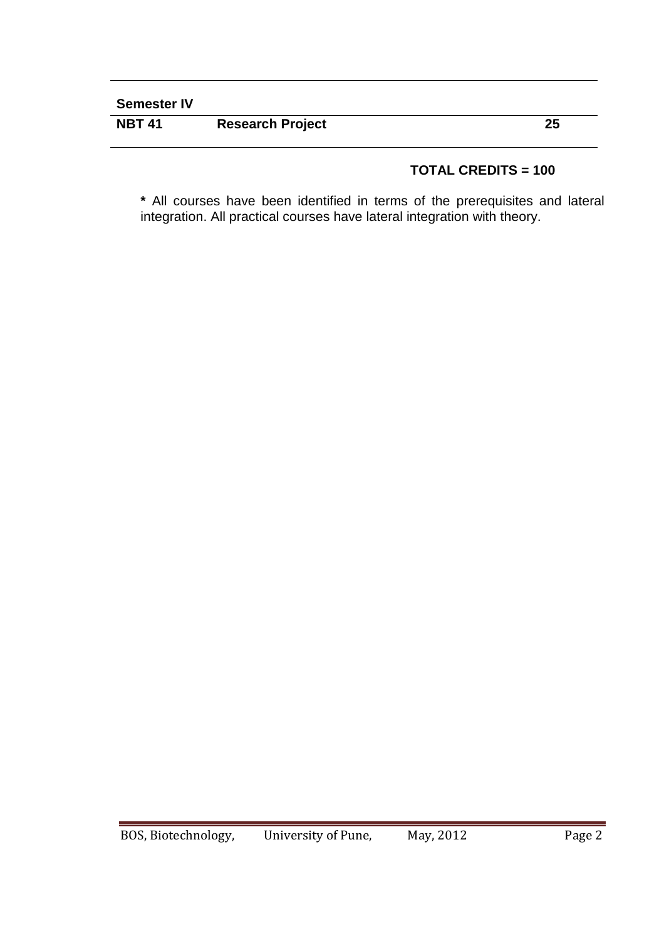# **Semester IV**

| <b>NBT 41</b> | <b>Research Project</b> |  |
|---------------|-------------------------|--|
|               |                         |  |

# **TOTAL CREDITS = 100**

**\*** All courses have been identified in terms of the prerequisites and lateral integration. All practical courses have lateral integration with theory.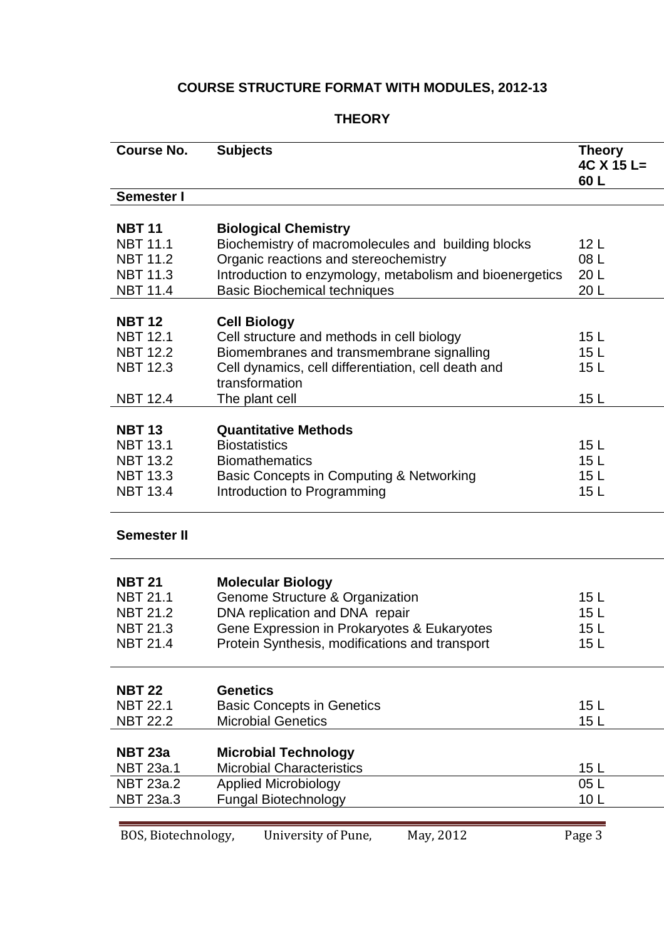# **COURSE STRUCTURE FORMAT WITH MODULES, 2012-13**

# **THEORY**

| <b>Course No.</b>   | <b>Subjects</b>                                          | <b>Theory</b><br>$4C X 15 L =$<br>60L |
|---------------------|----------------------------------------------------------|---------------------------------------|
| Semester I          |                                                          |                                       |
|                     |                                                          |                                       |
| <b>NBT 11</b>       | <b>Biological Chemistry</b>                              |                                       |
| <b>NBT 11.1</b>     | Biochemistry of macromolecules and building blocks       | 12 <sub>L</sub>                       |
| <b>NBT 11.2</b>     | Organic reactions and stereochemistry                    | 08 L                                  |
| <b>NBT 11.3</b>     | Introduction to enzymology, metabolism and bioenergetics | 20 L                                  |
| <b>NBT 11.4</b>     | <b>Basic Biochemical techniques</b>                      | 20 L                                  |
| <b>NBT 12</b>       | <b>Cell Biology</b>                                      |                                       |
| <b>NBT 12.1</b>     | Cell structure and methods in cell biology               | 15 <sub>L</sub>                       |
| <b>NBT 12.2</b>     | Biomembranes and transmembrane signalling                | 15 <sub>L</sub>                       |
| <b>NBT 12.3</b>     | Cell dynamics, cell differentiation, cell death and      | 15 <sub>L</sub>                       |
|                     | transformation                                           |                                       |
| <b>NBT 12.4</b>     | The plant cell                                           | 15 <sub>L</sub>                       |
|                     |                                                          |                                       |
| <b>NBT 13</b>       | <b>Quantitative Methods</b>                              |                                       |
| <b>NBT 13.1</b>     | <b>Biostatistics</b>                                     | 15L                                   |
| <b>NBT 13.2</b>     | <b>Biomathematics</b>                                    | 15L                                   |
| <b>NBT 13.3</b>     | Basic Concepts in Computing & Networking                 | 15L                                   |
| <b>NBT 13.4</b>     | Introduction to Programming                              | 15 <sub>L</sub>                       |
|                     |                                                          |                                       |
| <b>Semester II</b>  |                                                          |                                       |
|                     |                                                          |                                       |
| <b>NBT 21</b>       | <b>Molecular Biology</b>                                 |                                       |
| <b>NBT 21.1</b>     | Genome Structure & Organization                          | 15L                                   |
| <b>NBT 21.2</b>     | DNA replication and DNA repair                           | 15 <sub>L</sub>                       |
| <b>NBT 21.3</b>     | Gene Expression in Prokaryotes & Eukaryotes              | 15 <sub>L</sub>                       |
| <b>NBT 21.4</b>     | Protein Synthesis, modifications and transport           | 15 <sub>L</sub>                       |
|                     |                                                          |                                       |
| <b>NBT 22</b>       | <b>Genetics</b>                                          |                                       |
| <b>NBT 22.1</b>     | <b>Basic Concepts in Genetics</b>                        | 15L                                   |
| <b>NBT 22.2</b>     | <b>Microbial Genetics</b>                                | 15 <sub>L</sub>                       |
|                     |                                                          |                                       |
| <b>NBT 23a</b>      | <b>Microbial Technology</b>                              |                                       |
| <b>NBT 23a.1</b>    | <b>Microbial Characteristics</b>                         | 15 <sub>L</sub>                       |
| <b>NBT 23a.2</b>    | <b>Applied Microbiology</b>                              | 05L                                   |
| <b>NBT 23a.3</b>    | <b>Fungal Biotechnology</b>                              | 10 <sub>L</sub>                       |
|                     |                                                          |                                       |
| BOS, Biotechnology, | University of Pune,<br>May, 2012                         | Page 3                                |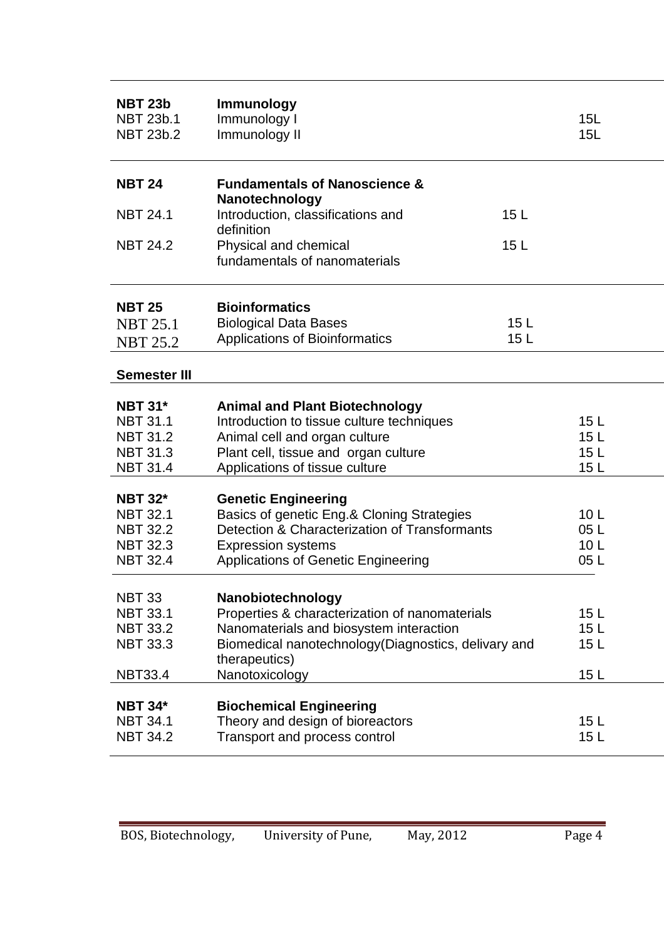| <b>NBT 23b</b><br><b>NBT 23b.1</b><br><b>NBT 23b.2</b> | <b>Immunology</b><br>Immunology I<br>Immunology II                     | 15L<br>15L             |
|--------------------------------------------------------|------------------------------------------------------------------------|------------------------|
| <b>NBT 24</b>                                          | <b>Fundamentals of Nanoscience &amp;</b><br>Nanotechnology             |                        |
| <b>NBT 24.1</b>                                        | Introduction, classifications and<br>definition                        | 15 <sub>L</sub>        |
| <b>NBT 24.2</b>                                        | Physical and chemical<br>fundamentals of nanomaterials                 | 15 <sub>L</sub>        |
| <b>NBT 25</b>                                          | <b>Bioinformatics</b>                                                  |                        |
| <b>NBT 25.1</b><br><b>NBT 25.2</b>                     | <b>Biological Data Bases</b><br>Applications of Bioinformatics         | 15 <sub>L</sub><br>15L |
| <b>Semester III</b>                                    |                                                                        |                        |
| <b>NBT 31*</b>                                         | <b>Animal and Plant Biotechnology</b>                                  |                        |
| <b>NBT 31.1</b>                                        | Introduction to tissue culture techniques                              | 15 <sub>L</sub>        |
| <b>NBT 31.2</b>                                        | Animal cell and organ culture                                          | 15 <sub>L</sub>        |
| <b>NBT 31.3</b><br><b>NBT 31.4</b>                     | Plant cell, tissue and organ culture<br>Applications of tissue culture | 15L<br>15 <sub>L</sub> |
| <b>NBT 32*</b>                                         | <b>Genetic Engineering</b>                                             |                        |
| <b>NBT 32.1</b>                                        | Basics of genetic Eng.& Cloning Strategies                             | 10 <sub>L</sub>        |
| <b>NBT 32.2</b>                                        | Detection & Characterization of Transformants                          | 05L                    |
| <b>NBT 32.3</b>                                        | <b>Expression systems</b>                                              | 10 <sub>L</sub>        |
| <b>NBT 32.4</b>                                        | <b>Applications of Genetic Engineering</b>                             | 05L                    |
| <b>NBT 33</b>                                          | Nanobiotechnology                                                      |                        |
| <b>NBT 33.1</b>                                        | Properties & characterization of nanomaterials                         | 15L                    |
| <b>NBT 33.2</b>                                        | Nanomaterials and biosystem interaction                                | 15 <sub>L</sub>        |
| <b>NBT 33.3</b>                                        | Biomedical nanotechnology(Diagnostics, delivary and<br>therapeutics)   | 15 L                   |
| <b>NBT33.4</b>                                         | Nanotoxicology                                                         | 15 <sub>L</sub>        |
| <b>NBT 34*</b>                                         |                                                                        |                        |
| <b>NBT 34.1</b>                                        | <b>Biochemical Engineering</b><br>Theory and design of bioreactors     | 15 <sub>L</sub>        |
| <b>NBT 34.2</b>                                        | Transport and process control                                          | 15 <sub>L</sub>        |
|                                                        |                                                                        |                        |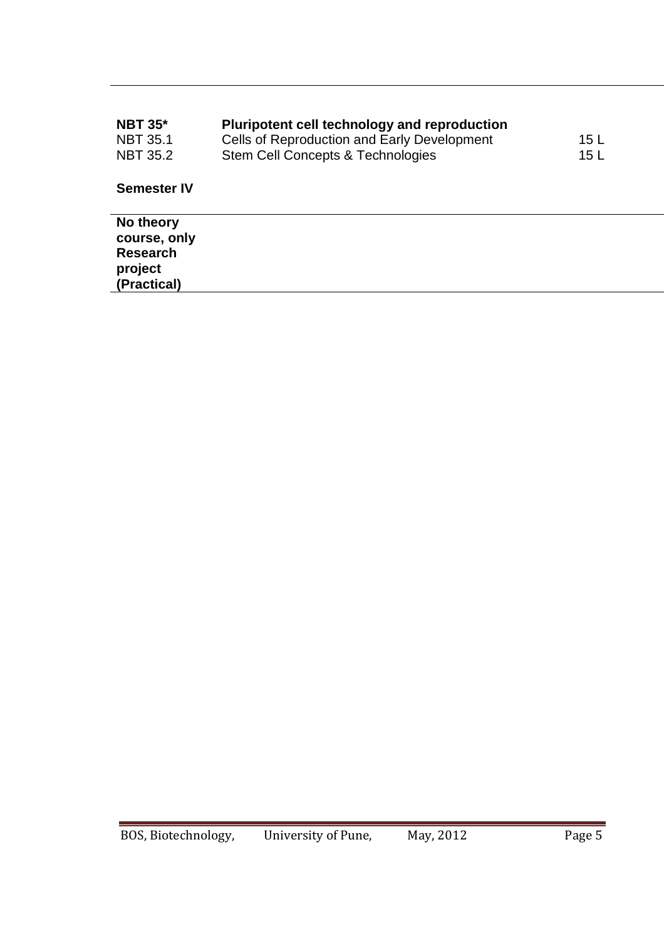| <b>NBT 35*</b><br><b>NBT 35.1</b><br><b>NBT 35.2</b>                   | Pluripotent cell technology and reproduction<br>Cells of Reproduction and Early Development<br>Stem Cell Concepts & Technologies | 15 <sub>L</sub><br>15 <sub>L</sub> |
|------------------------------------------------------------------------|----------------------------------------------------------------------------------------------------------------------------------|------------------------------------|
| <b>Semester IV</b>                                                     |                                                                                                                                  |                                    |
| No theory<br>course, only<br><b>Research</b><br>project<br>(Practical) |                                                                                                                                  |                                    |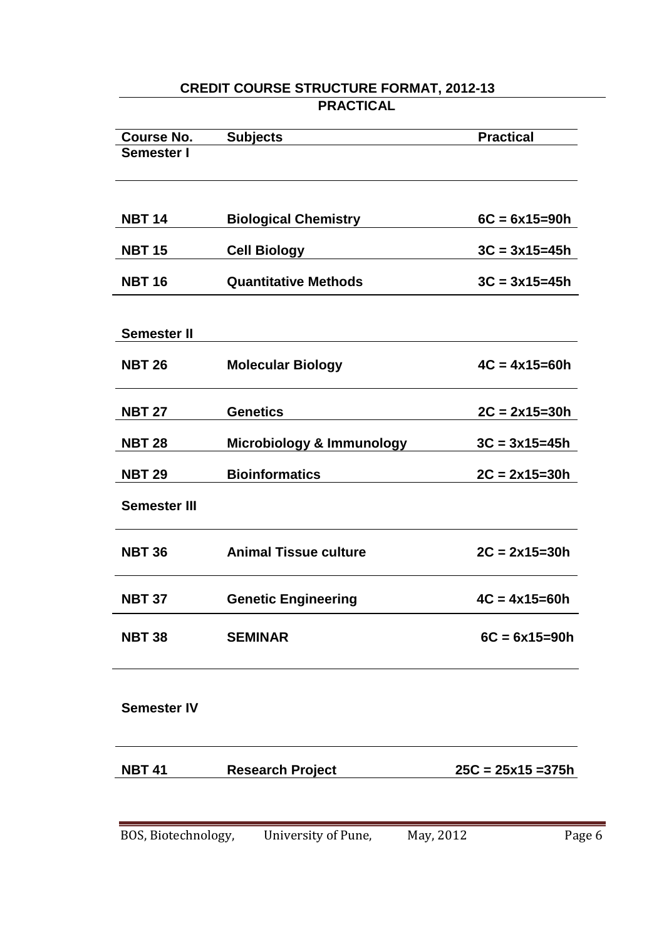# **CREDIT COURSE STRUCTURE FORMAT, 2012-13 PRACTICAL**

| <b>Course No.</b>   | <b>Subjects</b>                      | <b>Practical</b>     |
|---------------------|--------------------------------------|----------------------|
| <b>Semester I</b>   |                                      |                      |
|                     |                                      |                      |
|                     |                                      |                      |
|                     |                                      |                      |
| <b>NBT 14</b>       | <b>Biological Chemistry</b>          | $6C = 6x15 = 90h$    |
| <b>NBT 15</b>       | <b>Cell Biology</b>                  | $3C = 3x15 = 45h$    |
|                     |                                      |                      |
| <b>NBT 16</b>       | <b>Quantitative Methods</b>          | $3C = 3x15 = 45h$    |
|                     |                                      |                      |
|                     |                                      |                      |
| <b>Semester II</b>  |                                      |                      |
| <b>NBT 26</b>       | <b>Molecular Biology</b>             | $4C = 4x15=60h$      |
|                     |                                      |                      |
|                     |                                      |                      |
| <b>NBT 27</b>       | <b>Genetics</b>                      | $2C = 2x15=30h$      |
| <b>NBT 28</b>       | <b>Microbiology &amp; Immunology</b> | $3C = 3x15 = 45h$    |
|                     |                                      |                      |
| <b>NBT 29</b>       | <b>Bioinformatics</b>                | $2C = 2x15=30h$      |
| <b>Semester III</b> |                                      |                      |
|                     |                                      |                      |
|                     |                                      |                      |
| <b>NBT 36</b>       | <b>Animal Tissue culture</b>         | $2C = 2x15 = 30h$    |
|                     |                                      |                      |
| <b>NBT 37</b>       | <b>Genetic Engineering</b>           | $4C = 4x15 = 60h$    |
|                     |                                      |                      |
| <b>NBT 38</b>       | <b>SEMINAR</b>                       | $6C = 6x15 = 90h$    |
|                     |                                      |                      |
|                     |                                      |                      |
|                     |                                      |                      |
| <b>Semester IV</b>  |                                      |                      |
|                     |                                      |                      |
|                     |                                      |                      |
| <b>NBT 41</b>       | <b>Research Project</b>              | $25C = 25x15 = 375h$ |
|                     |                                      |                      |
|                     |                                      |                      |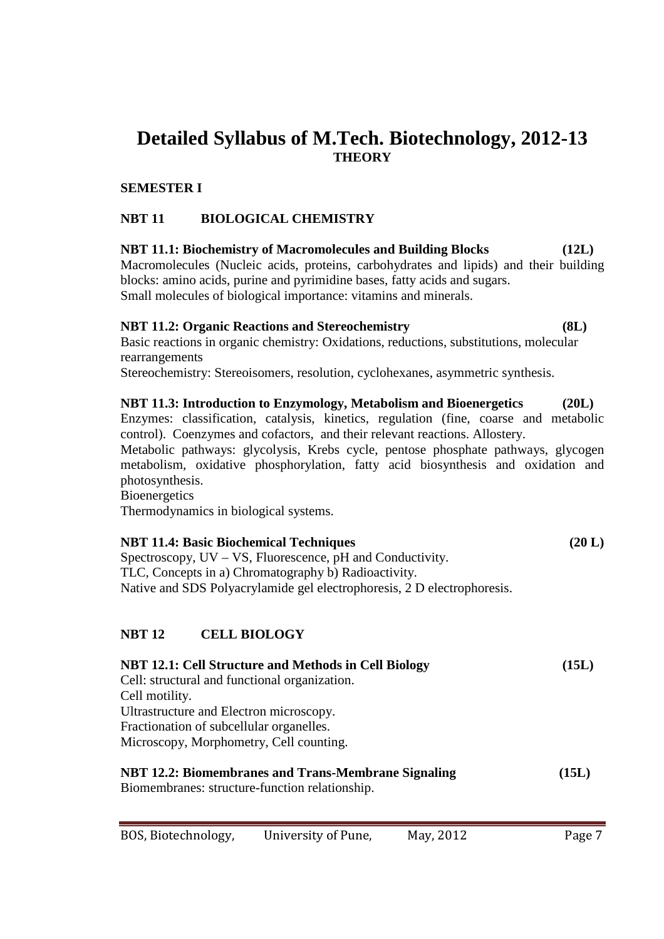# **Detailed Syllabus of M.Tech. Biotechnology, 2012-13 THEORY**

### **SEMESTER I**

# **NBT 11 BIOLOGICAL CHEMISTRY**

**NBT 11.1: Biochemistry of Macromolecules and Building Blocks (12L)**  Macromolecules (Nucleic acids, proteins, carbohydrates and lipids) and their building blocks: amino acids, purine and pyrimidine bases, fatty acids and sugars. Small molecules of biological importance: vitamins and minerals.

### **NBT 11.2: Organic Reactions and Stereochemistry (8L)**

Basic reactions in organic chemistry: Oxidations, reductions, substitutions, molecular rearrangements

Stereochemistry: Stereoisomers, resolution, cyclohexanes, asymmetric synthesis.

### **NBT 11.3: Introduction to Enzymology, Metabolism and Bioenergetics (20L)**

Enzymes: classification, catalysis, kinetics, regulation (fine, coarse and metabolic control). Coenzymes and cofactors, and their relevant reactions. Allostery.

Metabolic pathways: glycolysis, Krebs cycle, pentose phosphate pathways, glycogen metabolism, oxidative phosphorylation, fatty acid biosynthesis and oxidation and photosynthesis.

**Bioenergetics** Thermodynamics in biological systems.

# **NBT 11.4: Basic Biochemical Techniques** (20 L)

Spectroscopy, UV – VS, Fluorescence, pH and Conductivity. TLC, Concepts in a) Chromatography b) Radioactivity. Native and SDS Polyacrylamide gel electrophoresis, 2 D electrophoresis.

### **NBT 12 CELL BIOLOGY**

| <b>NBT 12.1: Cell Structure and Methods in Cell Biology</b> | (15L) |
|-------------------------------------------------------------|-------|
| Cell: structural and functional organization.               |       |
| Cell motility.                                              |       |
| Ultrastructure and Electron microscopy.                     |       |
| Fractionation of subcellular organelles.                    |       |
| Microscopy, Morphometry, Cell counting.                     |       |
| <b>NBT 12.2: Biomembranes and Trans-Membrane Signaling</b>  | (15L) |
| Biomembranes: structure-function relationship.              |       |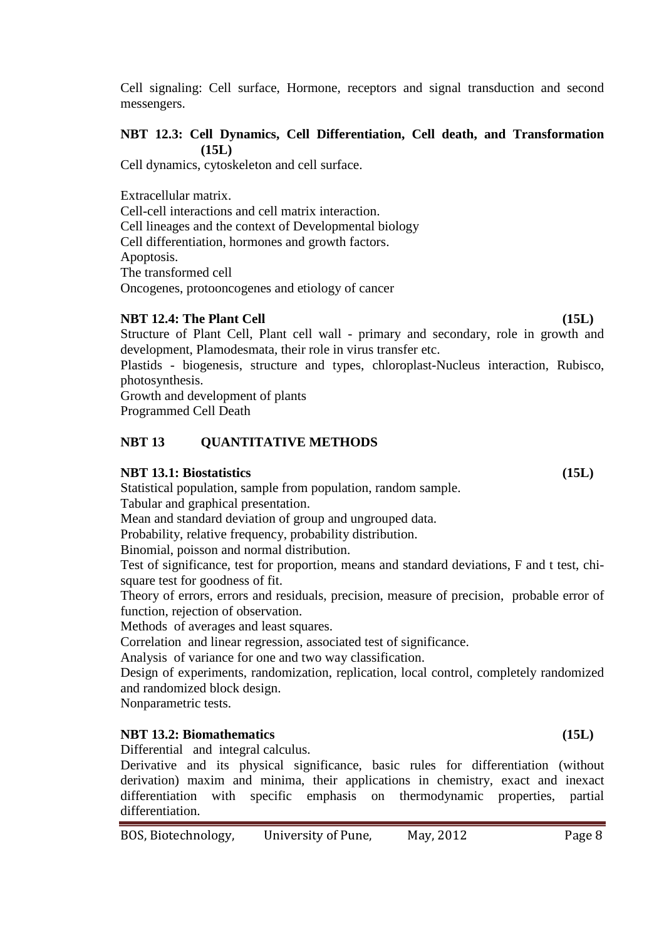Cell signaling: Cell surface, Hormone, receptors and signal transduction and second messengers.

### **NBT 12.3: Cell Dynamics, Cell Differentiation, Cell death, and Transformation (15L)**

Cell dynamics, cytoskeleton and cell surface.

Extracellular matrix.

Cell-cell interactions and cell matrix interaction. Cell lineages and the context of Developmental biology Cell differentiation, hormones and growth factors. Apoptosis. The transformed cell Oncogenes, protooncogenes and etiology of cancer

### **NBT 12.4: The Plant Cell** (15L) (15L)

Structure of Plant Cell, Plant cell wall - primary and secondary, role in growth and development, Plamodesmata, their role in virus transfer etc.

Plastids - biogenesis, structure and types, chloroplast-Nucleus interaction, Rubisco, photosynthesis.

Growth and development of plants Programmed Cell Death

### **NBT 13 QUANTITATIVE METHODS**

### **NBT 13.1: Biostatistics (15L)**

Statistical population, sample from population, random sample. Tabular and graphical presentation.

Mean and standard deviation of group and ungrouped data.

Probability, relative frequency, probability distribution.

Binomial, poisson and normal distribution.

Test of significance, test for proportion, means and standard deviations, F and t test, chisquare test for goodness of fit.

Theory of errors, errors and residuals, precision, measure of precision, probable error of function, rejection of observation.

Methods of averages and least squares.

Correlation and linear regression, associated test of significance.

Analysis of variance for one and two way classification.

Design of experiments, randomization, replication, local control, completely randomized and randomized block design.

Nonparametric tests.

### **NBT 13.2: Biomathematics (15L)**

Differential and integral calculus.

Derivative and its physical significance, basic rules for differentiation (without derivation) maxim and minima, their applications in chemistry, exact and inexact differentiation with specific emphasis on thermodynamic properties, partial differentiation.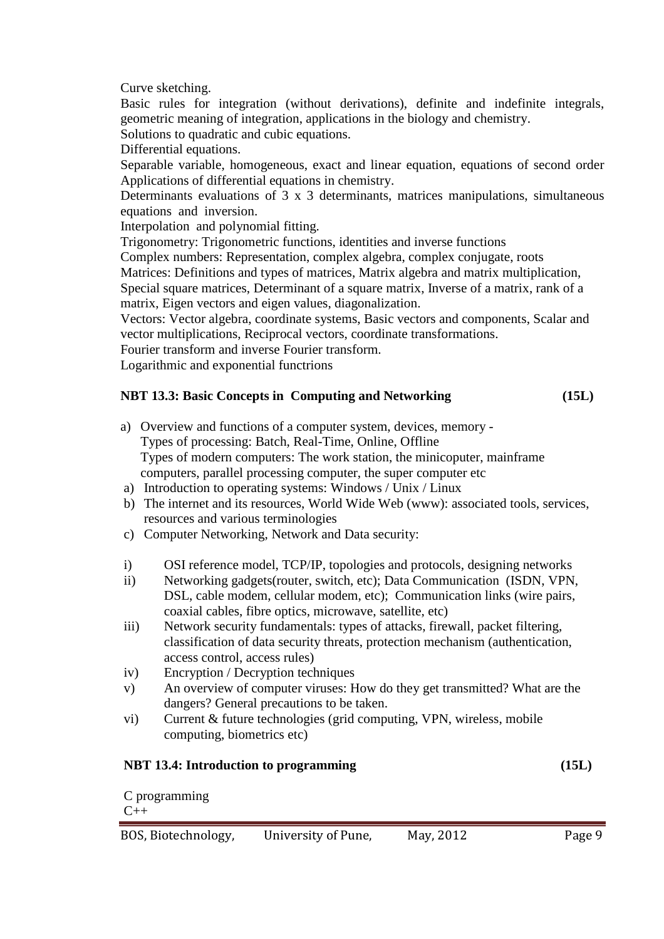Curve sketching.

Basic rules for integration (without derivations), definite and indefinite integrals, geometric meaning of integration, applications in the biology and chemistry.

Solutions to quadratic and cubic equations.

Differential equations.

Separable variable, homogeneous, exact and linear equation, equations of second order Applications of differential equations in chemistry.

Determinants evaluations of 3 x 3 determinants, matrices manipulations, simultaneous equations and inversion.

Interpolation and polynomial fitting.

Trigonometry: Trigonometric functions, identities and inverse functions

Complex numbers: Representation, complex algebra, complex conjugate, roots

Matrices: Definitions and types of matrices, Matrix algebra and matrix multiplication,

Special square matrices, Determinant of a square matrix, Inverse of a matrix, rank of a matrix, Eigen vectors and eigen values, diagonalization.

Vectors: Vector algebra, coordinate systems, Basic vectors and components, Scalar and vector multiplications, Reciprocal vectors, coordinate transformations.

Fourier transform and inverse Fourier transform.

Logarithmic and exponential functrions

# **NBT 13.3: Basic Concepts in Computing and Networking (15L)**

- a) Overview and functions of a computer system, devices, memory Types of processing: Batch, Real-Time, Online, Offline Types of modern computers: The work station, the minicoputer, mainframe computers, parallel processing computer, the super computer etc
- a) Introduction to operating systems: Windows / Unix / Linux
- b) The internet and its resources, World Wide Web (www): associated tools, services, resources and various terminologies
- c) Computer Networking, Network and Data security:
- i) OSI reference model, TCP/IP, topologies and protocols, designing networks
- ii) Networking gadgets(router, switch, etc); Data Communication (ISDN, VPN, DSL, cable modem, cellular modem, etc); Communication links (wire pairs, coaxial cables, fibre optics, microwave, satellite, etc)
- iii) Network security fundamentals: types of attacks, firewall, packet filtering, classification of data security threats, protection mechanism (authentication, access control, access rules)
- iv) Encryption / Decryption techniques
- v) An overview of computer viruses: How do they get transmitted? What are the dangers? General precautions to be taken.
- vi) Current & future technologies (grid computing, VPN, wireless, mobile computing, biometrics etc)

# **NBT 13.4: Introduction to programming (15L)**

C programming  $C_{++}$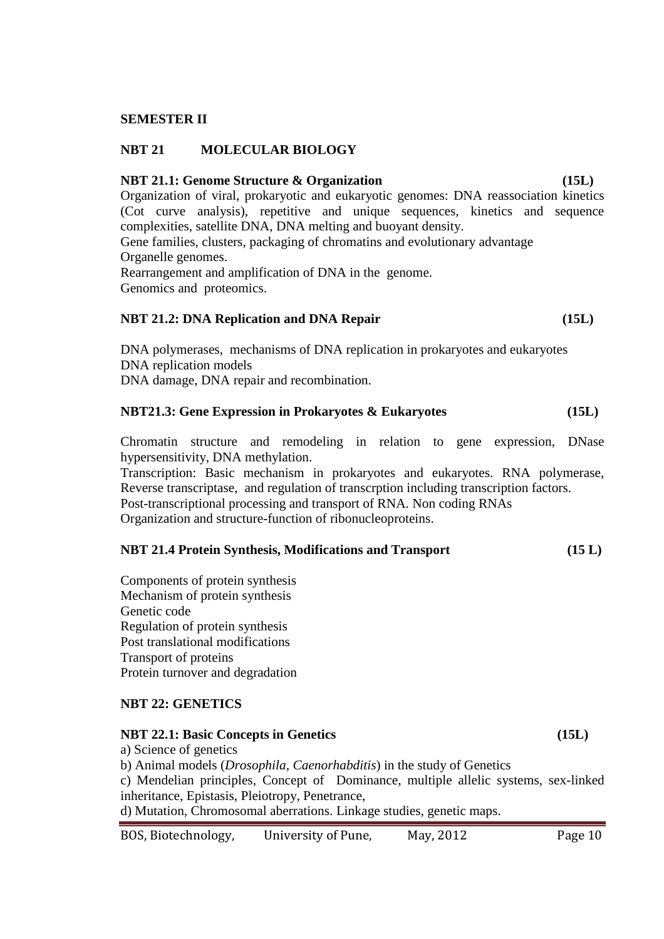### **SEMESTER II**

### **NBT 21 MOLECULAR BIOLOGY**

### **NBT 21.1: Genome Structure & Organization (15L)**

Organization of viral, prokaryotic and eukaryotic genomes: DNA reassociation kinetics (Cot curve analysis), repetitive and unique sequences, kinetics and sequence complexities, satellite DNA, DNA melting and buoyant density. Gene families, clusters, packaging of chromatins and evolutionary advantage Organelle genomes. Rearrangement and amplification of DNA in the genome. Genomics and proteomics.

### **NBT 21.2: DNA Replication and DNA Repair (15L)**

DNA polymerases, mechanisms of DNA replication in prokaryotes and eukaryotes DNA replication models DNA damage, DNA repair and recombination.

### **NBT21.3: Gene Expression in Prokaryotes & Eukaryotes (15L)**

Chromatin structure and remodeling in relation to gene expression, DNase hypersensitivity, DNA methylation.

Transcription: Basic mechanism in prokaryotes and eukaryotes. RNA polymerase, Reverse transcriptase, and regulation of transcrption including transcription factors. Post-transcriptional processing and transport of RNA. Non coding RNAs Organization and structure-function of ribonucleoproteins.

### **NBT 21.4 Protein Synthesis, Modifications and Transport (15 L)**

Components of protein synthesis Mechanism of protein synthesis Genetic code Regulation of protein synthesis Post translational modifications Transport of proteins Protein turnover and degradation

### **NBT 22: GENETICS**

### **NBT 22.1: Basic Concepts in Genetics (15L)**

a) Science of genetics b) Animal models (*Drosophila, Caenorhabditis*) in the study of Genetics c) Mendelian principles, Concept of Dominance, multiple allelic systems, sex-linked inheritance, Epistasis, Pleiotropy, Penetrance, d) Mutation, Chromosomal aberrations. Linkage studies, genetic maps.

| BOS, Biotechnology, | University of Pune, | May, 2012 | Page 10 |
|---------------------|---------------------|-----------|---------|
|---------------------|---------------------|-----------|---------|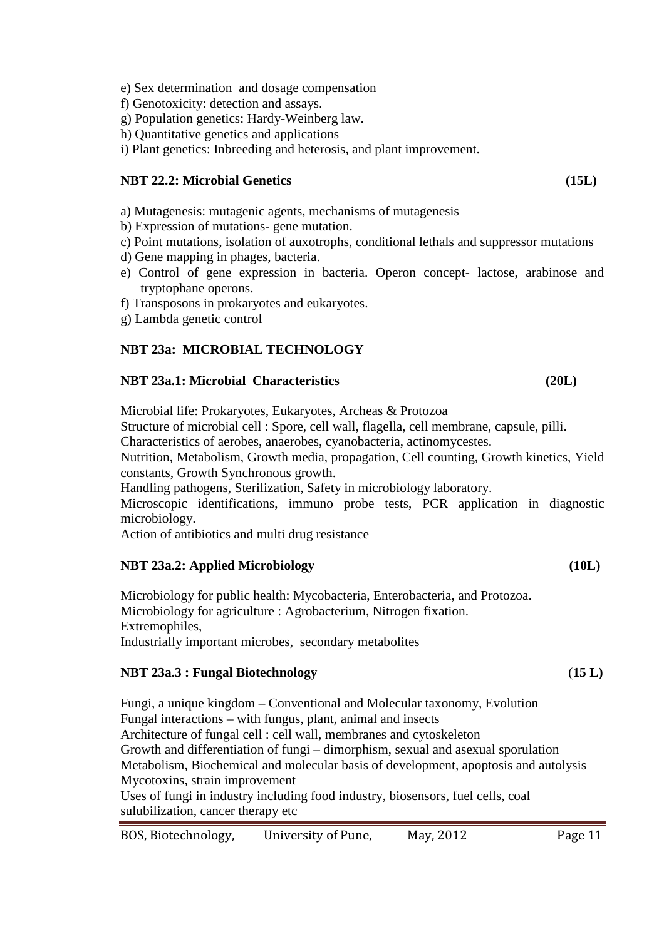- e) Sex determination and dosage compensation
- f) Genotoxicity: detection and assays.
- g) Population genetics: Hardy-Weinberg law.
- h) Quantitative genetics and applications
- i) Plant genetics: Inbreeding and heterosis, and plant improvement.

## **NBT 22.2: Microbial Genetics (15L)**

- a) Mutagenesis: mutagenic agents, mechanisms of mutagenesis
- b) Expression of mutations- gene mutation.
- c) Point mutations, isolation of auxotrophs, conditional lethals and suppressor mutations
- d) Gene mapping in phages, bacteria.
- e) Control of gene expression in bacteria. Operon concept- lactose, arabinose and tryptophane operons.
- f) Transposons in prokaryotes and eukaryotes.
- g) Lambda genetic control

# **NBT 23a: MICROBIAL TECHNOLOGY**

# **NBT 23a.1: Microbial Characteristics (20L)**

Microbial life: Prokaryotes, Eukaryotes, Archeas & Protozoa Structure of microbial cell : Spore, cell wall, flagella, cell membrane, capsule, pilli. Characteristics of aerobes, anaerobes, cyanobacteria, actinomycestes. Nutrition, Metabolism, Growth media, propagation, Cell counting, Growth kinetics, Yield constants, Growth Synchronous growth. Handling pathogens, Sterilization, Safety in microbiology laboratory.

Microscopic identifications, immuno probe tests, PCR application in diagnostic microbiology.

Action of antibiotics and multi drug resistance

# **NBT 23a.2: Applied Microbiology (10L)**

Microbiology for public health: Mycobacteria, Enterobacteria, and Protozoa. Microbiology for agriculture : Agrobacterium, Nitrogen fixation. Extremophiles, Industrially important microbes, secondary metabolites

### **NBT 23a.3 : Fungal Biotechnology** (**15 L)**

Fungi, a unique kingdom – Conventional and Molecular taxonomy, Evolution Fungal interactions – with fungus, plant, animal and insects Architecture of fungal cell : cell wall, membranes and cytoskeleton Growth and differentiation of fungi – dimorphism, sexual and asexual sporulation Metabolism, Biochemical and molecular basis of development, apoptosis and autolysis Mycotoxins, strain improvement Uses of fungi in industry including food industry, biosensors, fuel cells, coal sulubilization, cancer therapy etc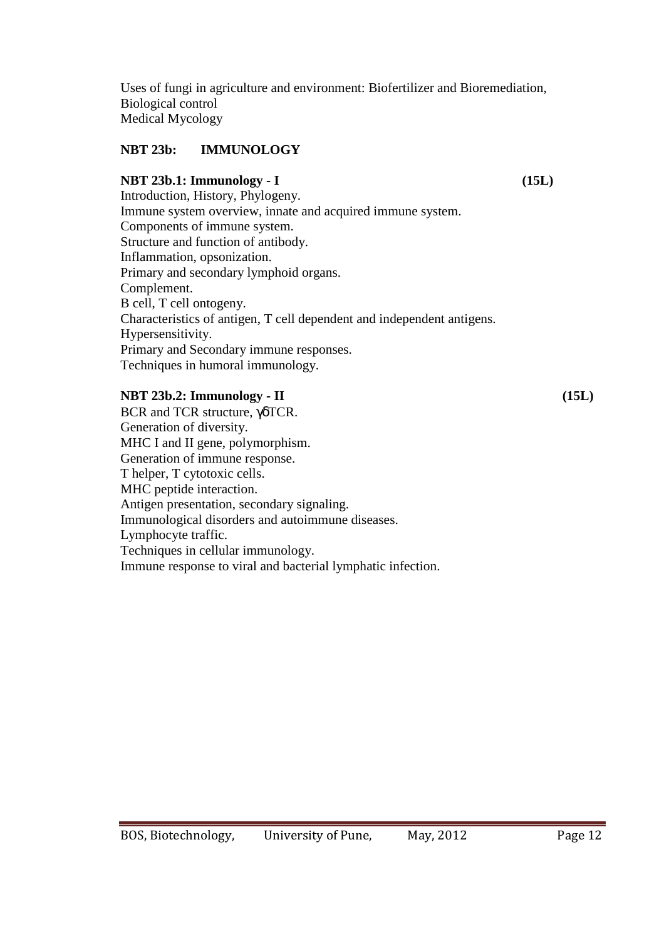Uses of fungi in agriculture and environment: Biofertilizer and Bioremediation, Biological control Medical Mycology

# **NBT 23b: IMMUNOLOGY**

### **NBT 23b.1: Immunology - I (15L)**

Introduction, History, Phylogeny. Immune system overview, innate and acquired immune system. Components of immune system. Structure and function of antibody. Inflammation, opsonization. Primary and secondary lymphoid organs. Complement. B cell, T cell ontogeny. Characteristics of antigen, T cell dependent and independent antigens. Hypersensitivity. Primary and Secondary immune responses. Techniques in humoral immunology.

### **NBT 23b.2: Immunology - II (15L)**

BCR and TCR structure, γδTCR. Generation of diversity. MHC I and II gene, polymorphism. Generation of immune response. T helper, T cytotoxic cells. MHC peptide interaction. Antigen presentation, secondary signaling. Immunological disorders and autoimmune diseases. Lymphocyte traffic. Techniques in cellular immunology. Immune response to viral and bacterial lymphatic infection.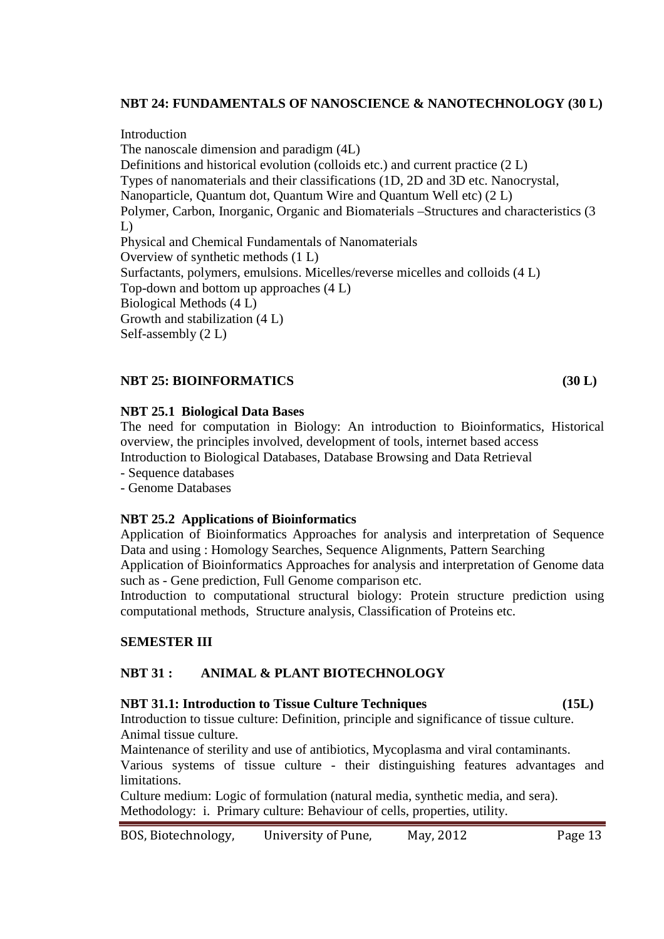### **NBT 24: FUNDAMENTALS OF NANOSCIENCE & NANOTECHNOLOGY (30 L)**

Introduction The nanoscale dimension and paradigm (4L) Definitions and historical evolution (colloids etc.) and current practice (2 L) Types of nanomaterials and their classifications (1D, 2D and 3D etc. Nanocrystal, Nanoparticle, Quantum dot, Quantum Wire and Quantum Well etc) (2 L) Polymer, Carbon, Inorganic, Organic and Biomaterials –Structures and characteristics (3 L) Physical and Chemical Fundamentals of Nanomaterials Overview of synthetic methods (1 L) Surfactants, polymers, emulsions. Micelles/reverse micelles and colloids (4 L) Top-down and bottom up approaches (4 L) Biological Methods (4 L) Growth and stabilization (4 L) Self-assembly (2 L)

### **NBT 25: BIOINFORMATICS (30 L)**

### **NBT 25.1 Biological Data Bases**

The need for computation in Biology: An introduction to Bioinformatics, Historical overview, the principles involved, development of tools, internet based access Introduction to Biological Databases, Database Browsing and Data Retrieval

- Sequence databases
- Genome Databases

### **NBT 25.2 Applications of Bioinformatics**

Application of Bioinformatics Approaches for analysis and interpretation of Sequence Data and using : Homology Searches, Sequence Alignments, Pattern Searching Application of Bioinformatics Approaches for analysis and interpretation of Genome data such as - Gene prediction, Full Genome comparison etc.

Introduction to computational structural biology: Protein structure prediction using computational methods, Structure analysis, Classification of Proteins etc.

### **SEMESTER III**

### **NBT 31 : ANIMAL & PLANT BIOTECHNOLOGY**

### **NBT 31.1: Introduction to Tissue Culture Techniques (15L)**

Introduction to tissue culture: Definition, principle and significance of tissue culture. Animal tissue culture.

Maintenance of sterility and use of antibiotics, Mycoplasma and viral contaminants. Various systems of tissue culture - their distinguishing features advantages and limitations.

Culture medium: Logic of formulation (natural media, synthetic media, and sera). Methodology: i. Primary culture: Behaviour of cells, properties, utility.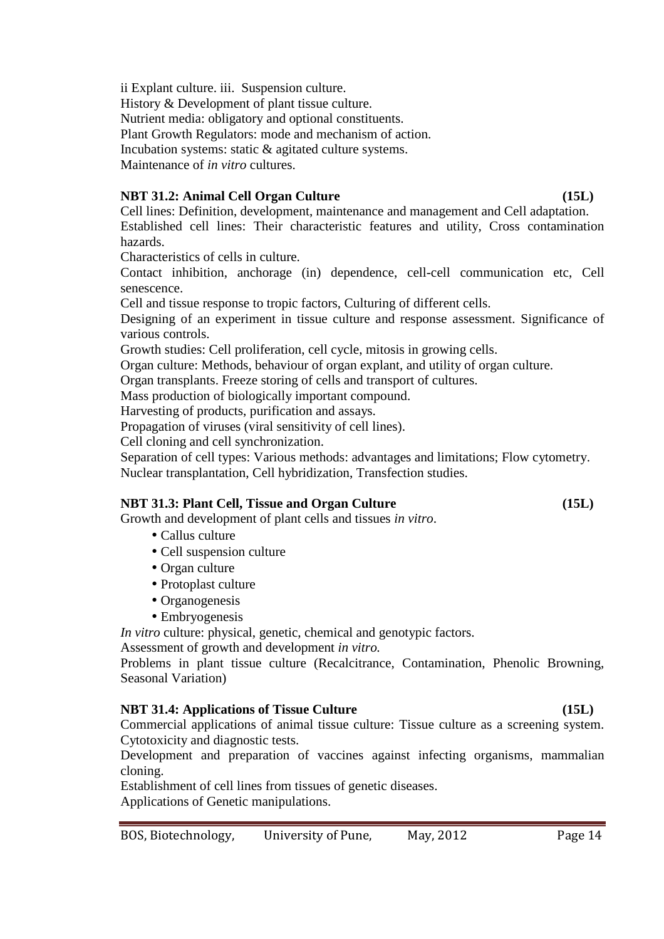ii Explant culture. iii. Suspension culture. History & Development of plant tissue culture. Nutrient media: obligatory and optional constituents. Plant Growth Regulators: mode and mechanism of action. Incubation systems: static & agitated culture systems. Maintenance of *in vitro* cultures.

# **NBT 31.2: Animal Cell Organ Culture (15L)** (15L)

Cell lines: Definition, development, maintenance and management and Cell adaptation. Established cell lines: Their characteristic features and utility, Cross contamination hazards.

Characteristics of cells in culture.

Contact inhibition, anchorage (in) dependence, cell-cell communication etc, Cell senescence.

Cell and tissue response to tropic factors, Culturing of different cells.

Designing of an experiment in tissue culture and response assessment. Significance of various controls.

Growth studies: Cell proliferation, cell cycle, mitosis in growing cells.

Organ culture: Methods, behaviour of organ explant, and utility of organ culture.

Organ transplants. Freeze storing of cells and transport of cultures.

Mass production of biologically important compound.

Harvesting of products, purification and assays.

Propagation of viruses (viral sensitivity of cell lines).

Cell cloning and cell synchronization.

Separation of cell types: Various methods: advantages and limitations; Flow cytometry. Nuclear transplantation, Cell hybridization, Transfection studies.

### **NBT 31.3: Plant Cell, Tissue and Organ Culture (15L)** (15L)

Growth and development of plant cells and tissues *in vitro*.

- Callus culture
- Cell suspension culture
- Organ culture
- Protoplast culture
- Organogenesis
- Embryogenesis

*In vitro* culture: physical, genetic, chemical and genotypic factors.

Assessment of growth and development *in vitro.*

Problems in plant tissue culture (Recalcitrance, Contamination, Phenolic Browning, Seasonal Variation)

### **NBT 31.4: Applications of Tissue Culture (15L)** (15L)

Commercial applications of animal tissue culture: Tissue culture as a screening system. Cytotoxicity and diagnostic tests.

Development and preparation of vaccines against infecting organisms, mammalian cloning.

Establishment of cell lines from tissues of genetic diseases. Applications of Genetic manipulations.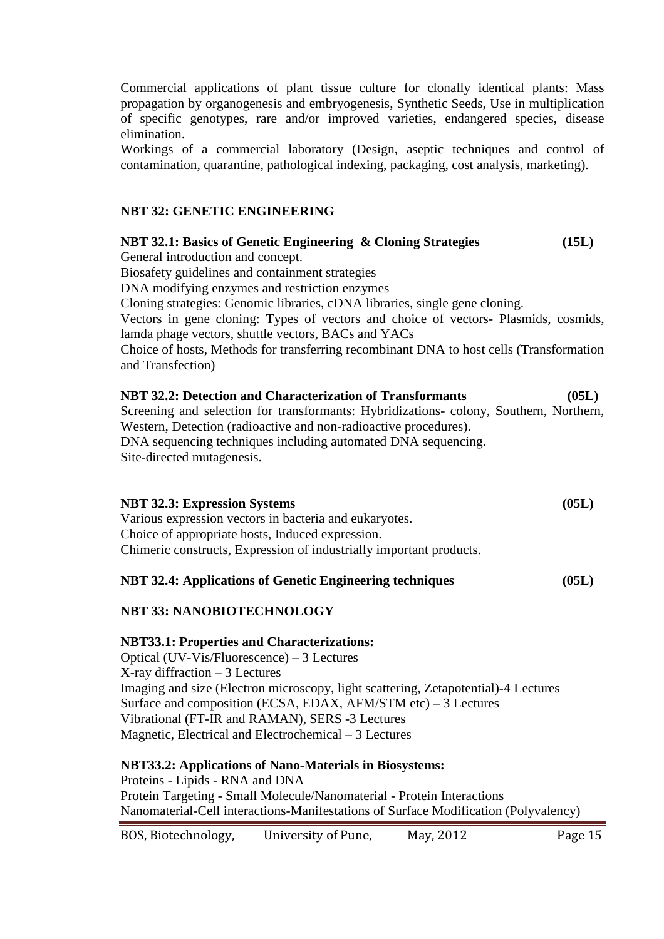Commercial applications of plant tissue culture for clonally identical plants: Mass propagation by organogenesis and embryogenesis, Synthetic Seeds, Use in multiplication of specific genotypes, rare and/or improved varieties, endangered species, disease elimination.

Workings of a commercial laboratory (Design, aseptic techniques and control of contamination, quarantine, pathological indexing, packaging, cost analysis, marketing).

### **NBT 32: GENETIC ENGINEERING**

**NBT 32.1: Basics of Genetic Engineering & Cloning Strategies (15L)**  General introduction and concept. Biosafety guidelines and containment strategies DNA modifying enzymes and restriction enzymes Cloning strategies: Genomic libraries, cDNA libraries, single gene cloning. Vectors in gene cloning: Types of vectors and choice of vectors- Plasmids, cosmids, lamda phage vectors, shuttle vectors, BACs and YACs Choice of hosts, Methods for transferring recombinant DNA to host cells (Transformation and Transfection) **NBT 32.2: Detection and Characterization of Transformants (05L)**

Screening and selection for transformants: Hybridizations- colony, Southern, Northern, Western, Detection (radioactive and non-radioactive procedures). DNA sequencing techniques including automated DNA sequencing. Site-directed mutagenesis.

| <b>NBT 32.3: Expression Systems</b>                                 | (05L) |
|---------------------------------------------------------------------|-------|
| Various expression vectors in bacteria and eukaryotes.              |       |
| Choice of appropriate hosts, Induced expression.                    |       |
| Chimeric constructs, Expression of industrially important products. |       |
|                                                                     |       |

### **NBT 32.4: Applications of Genetic Engineering techniques (05L)**

### **NBT 33: NANOBIOTECHNOLOGY**

### **NBT33.1: Properties and Characterizations:**

Optical (UV-Vis/Fluorescence) – 3 Lectures X-ray diffraction – 3 Lectures Imaging and size (Electron microscopy, light scattering, Zetapotential)-4 Lectures Surface and composition (ECSA, EDAX, AFM/STM etc) – 3 Lectures Vibrational (FT-IR and RAMAN), SERS -3 Lectures Magnetic, Electrical and Electrochemical – 3 Lectures

### **NBT33.2: Applications of Nano-Materials in Biosystems:** Proteins - Lipids - RNA and DNA Protein Targeting - Small Molecule/Nanomaterial - Protein Interactions Nanomaterial-Cell interactions-Manifestations of Surface Modification (Polyvalency)

### BOS, Biotechnology, University of Pune, May, 2012 Page 15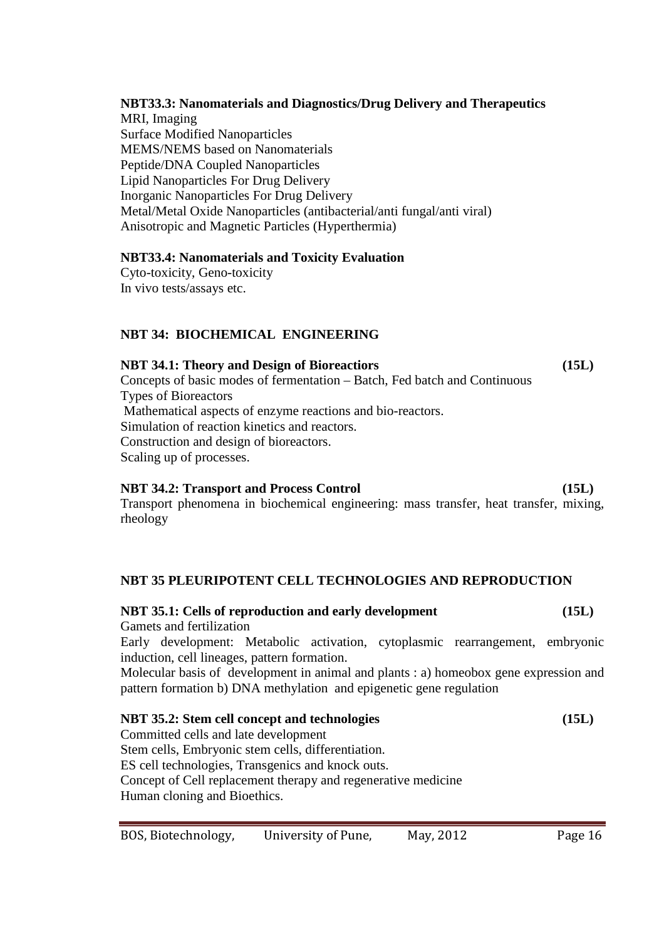# **NBT33.3: Nanomaterials and Diagnostics/Drug Delivery and Therapeutics**  MRI, Imaging

Surface Modified Nanoparticles MEMS/NEMS based on Nanomaterials Peptide/DNA Coupled Nanoparticles Lipid Nanoparticles For Drug Delivery Inorganic Nanoparticles For Drug Delivery Metal/Metal Oxide Nanoparticles (antibacterial/anti fungal/anti viral) Anisotropic and Magnetic Particles (Hyperthermia)

# **NBT33.4: Nanomaterials and Toxicity Evaluation**

Cyto-toxicity, Geno-toxicity In vivo tests/assays etc.

# **NBT 34: BIOCHEMICAL ENGINEERING**

# **NBT 34.1: Theory and Design of Bioreactiors (15L)**

Concepts of basic modes of fermentation – Batch, Fed batch and Continuous Types of Bioreactors Mathematical aspects of enzyme reactions and bio-reactors. Simulation of reaction kinetics and reactors. Construction and design of bioreactors. Scaling up of processes.

### **NBT 34.2: Transport and Process Control (15L)**

Transport phenomena in biochemical engineering: mass transfer, heat transfer, mixing, rheology

# **NBT 35 PLEURIPOTENT CELL TECHNOLOGIES AND REPRODUCTION**

# **NBT 35.1: Cells of reproduction and early development (15L)**

Gamets and fertilization Early development: Metabolic activation, cytoplasmic rearrangement, embryonic

induction, cell lineages, pattern formation. Molecular basis of development in animal and plants : a) homeobox gene expression and

pattern formation b) DNA methylation and epigenetic gene regulation

**NBT 35.2: Stem cell concept and technologies (15L)**  Committed cells and late development Stem cells, Embryonic stem cells, differentiation. ES cell technologies, Transgenics and knock outs. Concept of Cell replacement therapy and regenerative medicine Human cloning and Bioethics.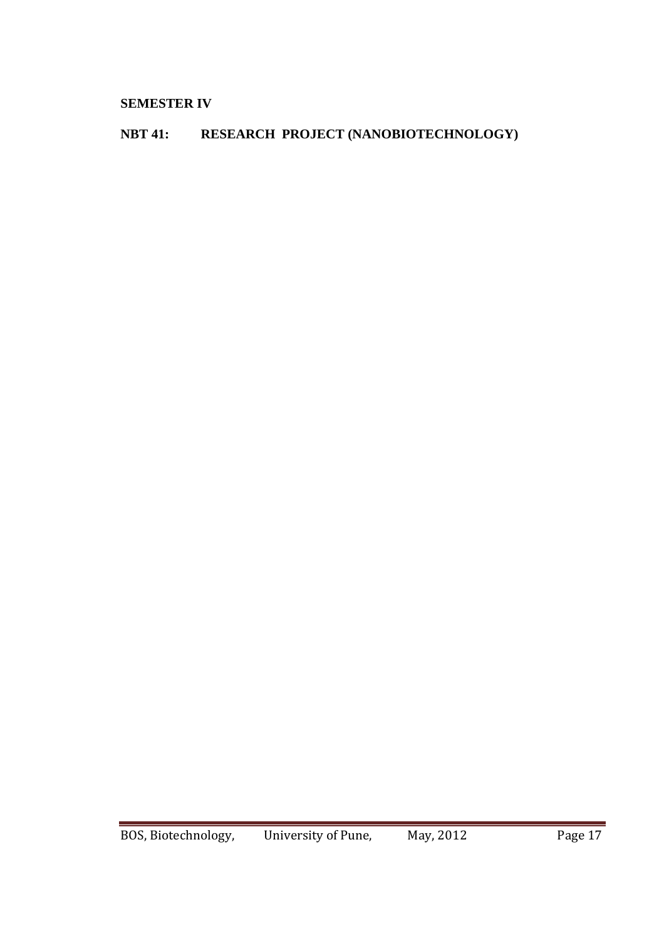# **SEMESTER IV**

# **NBT 41: RESEARCH PROJECT (NANOBIOTECHNOLOGY)**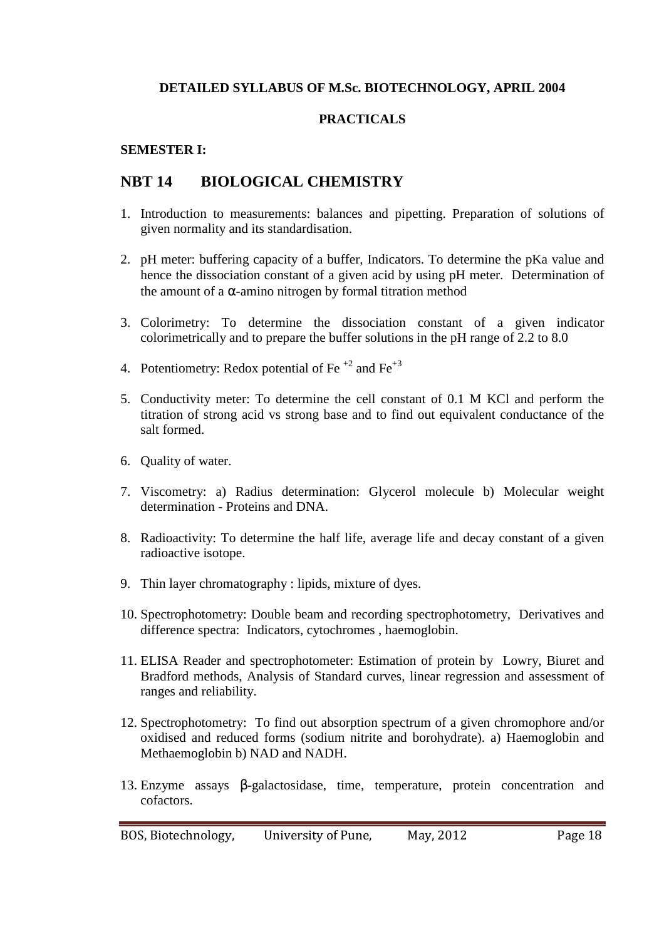## **DETAILED SYLLABUS OF M.Sc. BIOTECHNOLOGY, APRIL 2004**

### **PRACTICALS**

### **SEMESTER I:**

# **NBT 14 BIOLOGICAL CHEMISTRY**

- 1. Introduction to measurements: balances and pipetting. Preparation of solutions of given normality and its standardisation.
- 2. pH meter: buffering capacity of a buffer, Indicators. To determine the pKa value and hence the dissociation constant of a given acid by using pH meter. Determination of the amount of a  $\alpha$ -amino nitrogen by formal titration method
- 3. Colorimetry: To determine the dissociation constant of a given indicator colorimetrically and to prepare the buffer solutions in the pH range of 2.2 to 8.0
- 4. Potentiometry: Redox potential of Fe<sup> $+2$ </sup> and Fe<sup> $+3$ </sup>
- 5. Conductivity meter: To determine the cell constant of 0.1 M KCl and perform the titration of strong acid vs strong base and to find out equivalent conductance of the salt formed.
- 6. Quality of water.
- 7. Viscometry: a) Radius determination: Glycerol molecule b) Molecular weight determination - Proteins and DNA.
- 8. Radioactivity: To determine the half life, average life and decay constant of a given radioactive isotope.
- 9. Thin layer chromatography : lipids, mixture of dyes.
- 10. Spectrophotometry: Double beam and recording spectrophotometry, Derivatives and difference spectra: Indicators, cytochromes , haemoglobin.
- 11. ELISA Reader and spectrophotometer: Estimation of protein by Lowry, Biuret and Bradford methods, Analysis of Standard curves, linear regression and assessment of ranges and reliability.
- 12. Spectrophotometry: To find out absorption spectrum of a given chromophore and/or oxidised and reduced forms (sodium nitrite and borohydrate). a) Haemoglobin and Methaemoglobin b) NAD and NADH.
- 13. Enzyme assays β-galactosidase, time, temperature, protein concentration and cofactors.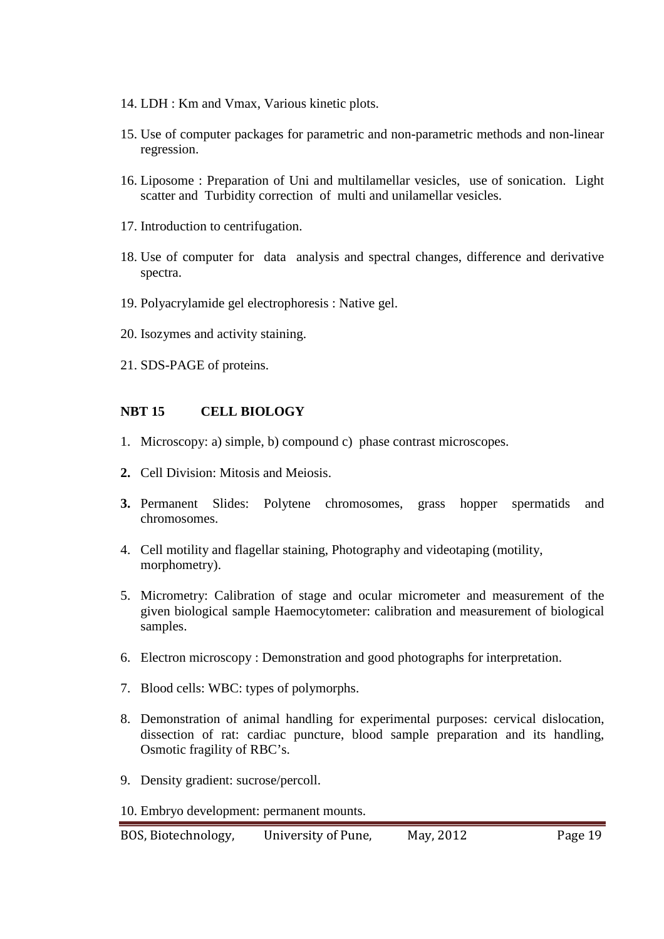- 14. LDH : Km and Vmax, Various kinetic plots.
- 15. Use of computer packages for parametric and non-parametric methods and non-linear regression.
- 16. Liposome : Preparation of Uni and multilamellar vesicles, use of sonication. Light scatter and Turbidity correction of multi and unilamellar vesicles.
- 17. Introduction to centrifugation.
- 18. Use of computer for data analysis and spectral changes, difference and derivative spectra.
- 19. Polyacrylamide gel electrophoresis : Native gel.
- 20. Isozymes and activity staining.
- 21. SDS-PAGE of proteins.

### **NBT 15 CELL BIOLOGY**

- 1. Microscopy: a) simple, b) compound c) phase contrast microscopes.
- **2.** Cell Division: Mitosis and Meiosis.
- **3.** Permanent Slides: Polytene chromosomes, grass hopper spermatids and chromosomes.
- 4. Cell motility and flagellar staining, Photography and videotaping (motility, morphometry).
- 5. Micrometry: Calibration of stage and ocular micrometer and measurement of the given biological sample Haemocytometer: calibration and measurement of biological samples.
- 6. Electron microscopy : Demonstration and good photographs for interpretation.
- 7. Blood cells: WBC: types of polymorphs.
- 8. Demonstration of animal handling for experimental purposes: cervical dislocation, dissection of rat: cardiac puncture, blood sample preparation and its handling, Osmotic fragility of RBC's.
- 9. Density gradient: sucrose/percoll.
- 10. Embryo development: permanent mounts.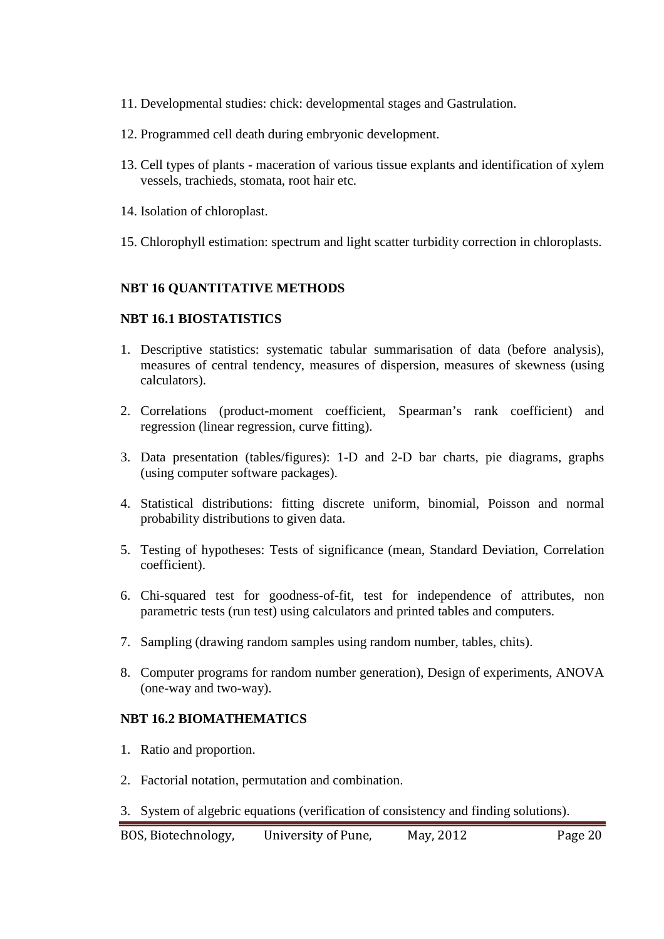- 11. Developmental studies: chick: developmental stages and Gastrulation.
- 12. Programmed cell death during embryonic development.
- 13. Cell types of plants maceration of various tissue explants and identification of xylem vessels, trachieds, stomata, root hair etc.
- 14. Isolation of chloroplast.
- 15. Chlorophyll estimation: spectrum and light scatter turbidity correction in chloroplasts.

### **NBT 16 QUANTITATIVE METHODS**

### **NBT 16.1 BIOSTATISTICS**

- 1. Descriptive statistics: systematic tabular summarisation of data (before analysis), measures of central tendency, measures of dispersion, measures of skewness (using calculators).
- 2. Correlations (product-moment coefficient, Spearman's rank coefficient) and regression (linear regression, curve fitting).
- 3. Data presentation (tables/figures): 1-D and 2-D bar charts, pie diagrams, graphs (using computer software packages).
- 4. Statistical distributions: fitting discrete uniform, binomial, Poisson and normal probability distributions to given data.
- 5. Testing of hypotheses: Tests of significance (mean, Standard Deviation, Correlation coefficient).
- 6. Chi-squared test for goodness-of-fit, test for independence of attributes, non parametric tests (run test) using calculators and printed tables and computers.
- 7. Sampling (drawing random samples using random number, tables, chits).
- 8. Computer programs for random number generation), Design of experiments, ANOVA (one-way and two-way).

### **NBT 16.2 BIOMATHEMATICS**

- 1. Ratio and proportion.
- 2. Factorial notation, permutation and combination.
- 3. System of algebric equations (verification of consistency and finding solutions).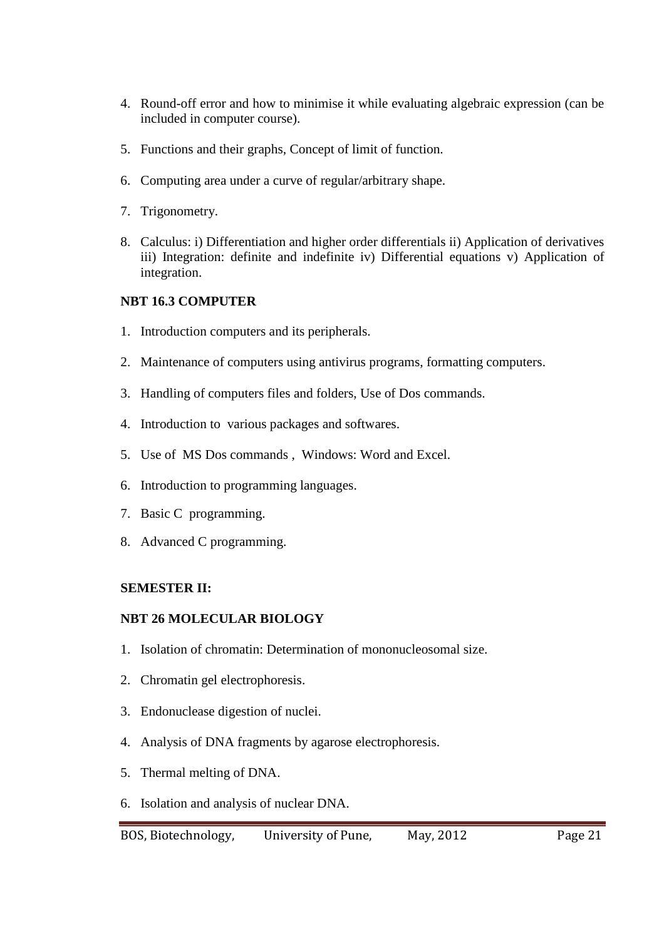- 4. Round-off error and how to minimise it while evaluating algebraic expression (can be included in computer course).
- 5. Functions and their graphs, Concept of limit of function.
- 6. Computing area under a curve of regular/arbitrary shape.
- 7. Trigonometry.
- 8. Calculus: i) Differentiation and higher order differentials ii) Application of derivatives iii) Integration: definite and indefinite iv) Differential equations v) Application of integration.

# **NBT 16.3 COMPUTER**

- 1. Introduction computers and its peripherals.
- 2. Maintenance of computers using antivirus programs, formatting computers.
- 3. Handling of computers files and folders, Use of Dos commands.
- 4. Introduction to various packages and softwares.
- 5. Use of MS Dos commands , Windows: Word and Excel.
- 6. Introduction to programming languages.
- 7. Basic C programming.
- 8. Advanced C programming.

# **SEMESTER II:**

### **NBT 26 MOLECULAR BIOLOGY**

- 1. Isolation of chromatin: Determination of mononucleosomal size.
- 2. Chromatin gel electrophoresis.
- 3. Endonuclease digestion of nuclei.
- 4. Analysis of DNA fragments by agarose electrophoresis.
- 5. Thermal melting of DNA.
- 6. Isolation and analysis of nuclear DNA.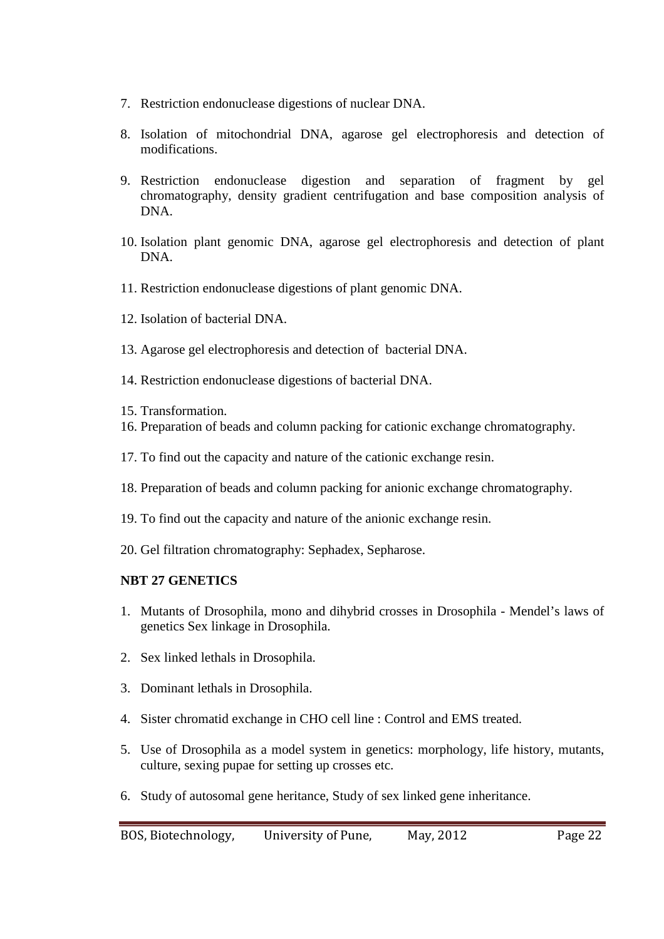- 7. Restriction endonuclease digestions of nuclear DNA.
- 8. Isolation of mitochondrial DNA, agarose gel electrophoresis and detection of modifications.
- 9. Restriction endonuclease digestion and separation of fragment by gel chromatography, density gradient centrifugation and base composition analysis of DNA.
- 10. Isolation plant genomic DNA, agarose gel electrophoresis and detection of plant DNA.
- 11. Restriction endonuclease digestions of plant genomic DNA.
- 12. Isolation of bacterial DNA.
- 13. Agarose gel electrophoresis and detection of bacterial DNA.
- 14. Restriction endonuclease digestions of bacterial DNA.
- 15. Transformation.
- 16. Preparation of beads and column packing for cationic exchange chromatography.
- 17. To find out the capacity and nature of the cationic exchange resin.
- 18. Preparation of beads and column packing for anionic exchange chromatography.
- 19. To find out the capacity and nature of the anionic exchange resin.
- 20. Gel filtration chromatography: Sephadex, Sepharose.

# **NBT 27 GENETICS**

- 1. Mutants of Drosophila, mono and dihybrid crosses in Drosophila Mendel's laws of genetics Sex linkage in Drosophila.
- 2. Sex linked lethals in Drosophila.
- 3. Dominant lethals in Drosophila.
- 4. Sister chromatid exchange in CHO cell line : Control and EMS treated.
- 5. Use of Drosophila as a model system in genetics: morphology, life history, mutants, culture, sexing pupae for setting up crosses etc.
- 6. Study of autosomal gene heritance, Study of sex linked gene inheritance.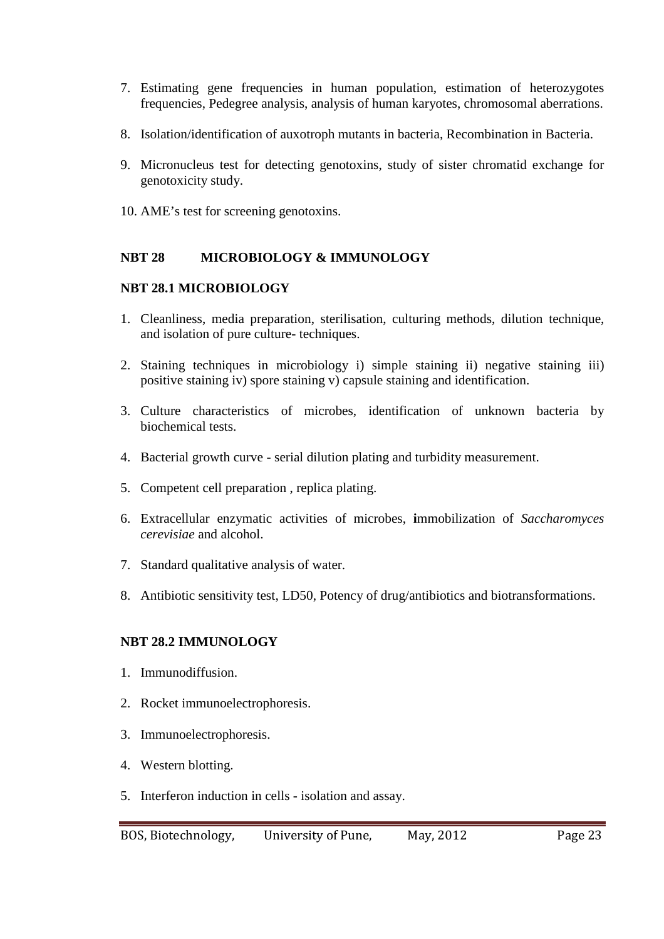- 7. Estimating gene frequencies in human population, estimation of heterozygotes frequencies, Pedegree analysis, analysis of human karyotes, chromosomal aberrations.
- 8. Isolation/identification of auxotroph mutants in bacteria, Recombination in Bacteria.
- 9. Micronucleus test for detecting genotoxins, study of sister chromatid exchange for genotoxicity study.
- 10. AME's test for screening genotoxins.

# **NBT 28 MICROBIOLOGY & IMMUNOLOGY**

# **NBT 28.1 MICROBIOLOGY**

- 1. Cleanliness, media preparation, sterilisation, culturing methods, dilution technique, and isolation of pure culture- techniques.
- 2. Staining techniques in microbiology i) simple staining ii) negative staining iii) positive staining iv) spore staining v) capsule staining and identification.
- 3. Culture characteristics of microbes, identification of unknown bacteria by biochemical tests.
- 4. Bacterial growth curve serial dilution plating and turbidity measurement.
- 5. Competent cell preparation , replica plating.
- 6. Extracellular enzymatic activities of microbes, **i**mmobilization of *Saccharomyces cerevisiae* and alcohol.
- 7. Standard qualitative analysis of water.
- 8. Antibiotic sensitivity test, LD50, Potency of drug/antibiotics and biotransformations.

# **NBT 28.2 IMMUNOLOGY**

- 1. Immunodiffusion.
- 2. Rocket immunoelectrophoresis.
- 3. Immunoelectrophoresis.
- 4. Western blotting.
- 5. Interferon induction in cells isolation and assay.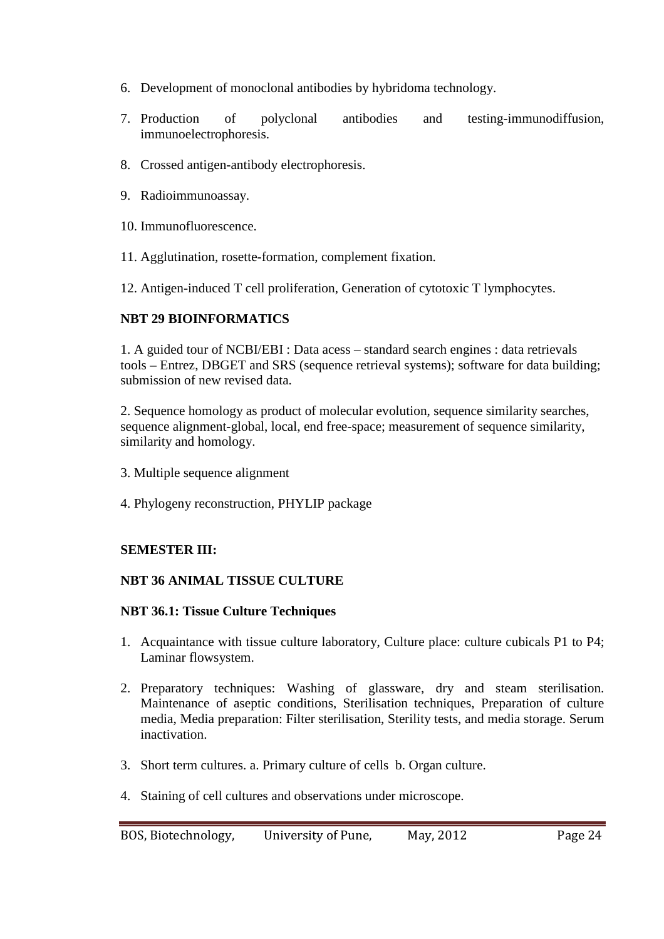- 6. Development of monoclonal antibodies by hybridoma technology.
- 7. Production of polyclonal antibodies and testing-immunodiffusion, immunoelectrophoresis.
- 8. Crossed antigen-antibody electrophoresis.
- 9. Radioimmunoassay.
- 10. Immunofluorescence.
- 11. Agglutination, rosette-formation, complement fixation.
- 12. Antigen-induced T cell proliferation, Generation of cytotoxic T lymphocytes.

# **NBT 29 BIOINFORMATICS**

1. A guided tour of NCBI/EBI : Data acess – standard search engines : data retrievals tools – Entrez, DBGET and SRS (sequence retrieval systems); software for data building; submission of new revised data.

2. Sequence homology as product of molecular evolution, sequence similarity searches, sequence alignment-global, local, end free-space; measurement of sequence similarity, similarity and homology.

- 3. Multiple sequence alignment
- 4. Phylogeny reconstruction, PHYLIP package

# **SEMESTER III:**

# **NBT 36 ANIMAL TISSUE CULTURE**

### **NBT 36.1: Tissue Culture Techniques**

- 1. Acquaintance with tissue culture laboratory, Culture place: culture cubicals P1 to P4; Laminar flowsystem.
- 2. Preparatory techniques: Washing of glassware, dry and steam sterilisation. Maintenance of aseptic conditions, Sterilisation techniques, Preparation of culture media, Media preparation: Filter sterilisation, Sterility tests, and media storage. Serum inactivation.
- 3. Short term cultures. a. Primary culture of cells b. Organ culture.
- 4. Staining of cell cultures and observations under microscope.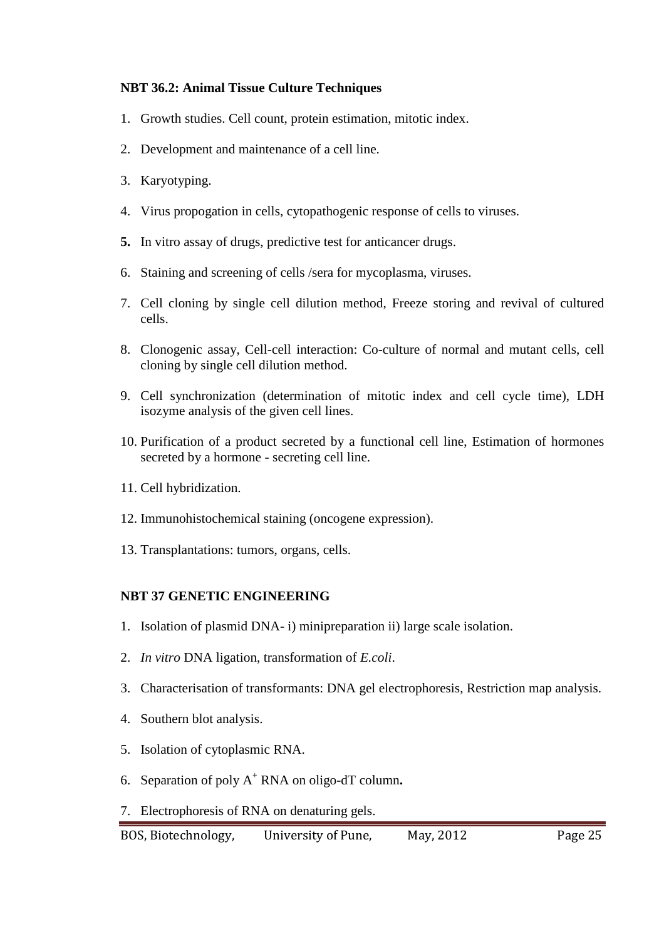# **NBT 36.2: Animal Tissue Culture Techniques**

- 1. Growth studies. Cell count, protein estimation, mitotic index.
- 2. Development and maintenance of a cell line.
- 3. Karyotyping.
- 4. Virus propogation in cells, cytopathogenic response of cells to viruses.
- **5.** In vitro assay of drugs, predictive test for anticancer drugs.
- 6. Staining and screening of cells /sera for mycoplasma, viruses.
- 7. Cell cloning by single cell dilution method, Freeze storing and revival of cultured cells.
- 8. Clonogenic assay, Cell-cell interaction: Co-culture of normal and mutant cells, cell cloning by single cell dilution method.
- 9. Cell synchronization (determination of mitotic index and cell cycle time), LDH isozyme analysis of the given cell lines.
- 10. Purification of a product secreted by a functional cell line, Estimation of hormones secreted by a hormone - secreting cell line.
- 11. Cell hybridization.
- 12. Immunohistochemical staining (oncogene expression).
- 13. Transplantations: tumors, organs, cells.

# **NBT 37 GENETIC ENGINEERING**

- 1. Isolation of plasmid DNA- i) minipreparation ii) large scale isolation.
- 2. *In vitro* DNA ligation, transformation of *E.coli*.
- 3. Characterisation of transformants: DNA gel electrophoresis, Restriction map analysis.
- 4. Southern blot analysis.
- 5. Isolation of cytoplasmic RNA.
- 6. Separation of poly A<sup>+</sup> RNA on oligo-dT column**.**
- 7. Electrophoresis of RNA on denaturing gels.

BOS, Biotechnology, University of Pune, May, 2012 Page 25